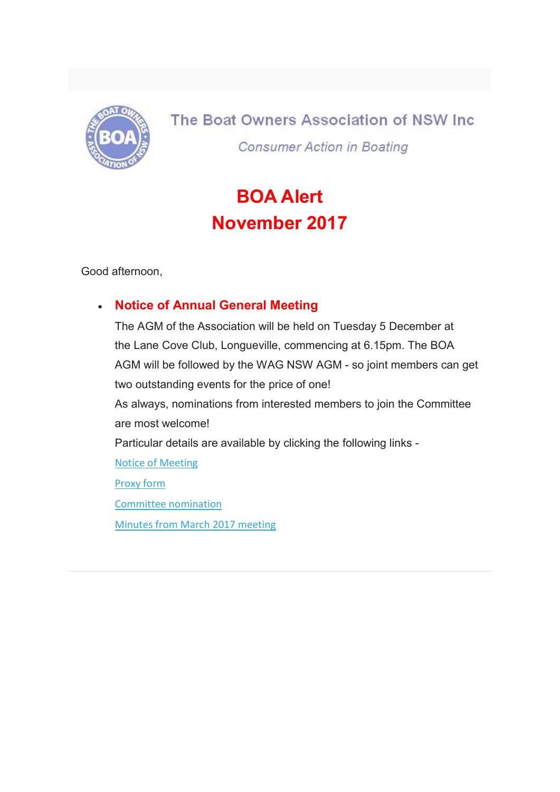

The Boat Owners Association of NSW Inc. **Consumer Action in Boating** 

# BOA Alert November 2017

Good afternoon,

# Notice of Annual General Meeting

The AGM of the Association will be held on Tuesday 5 December at the Lane Cove Club, Longueville, commencing at 6.15pm. The BOA AGM will be followed by the WAG NSW AGM - so joint members can get two outstanding events for the price of one! As always, nominations from interested members to join the Committee are most welcome! Particular details are available by clicking the following links - Notice of Meeting Proxy form Committee nomination Minutes from March 2017 meeting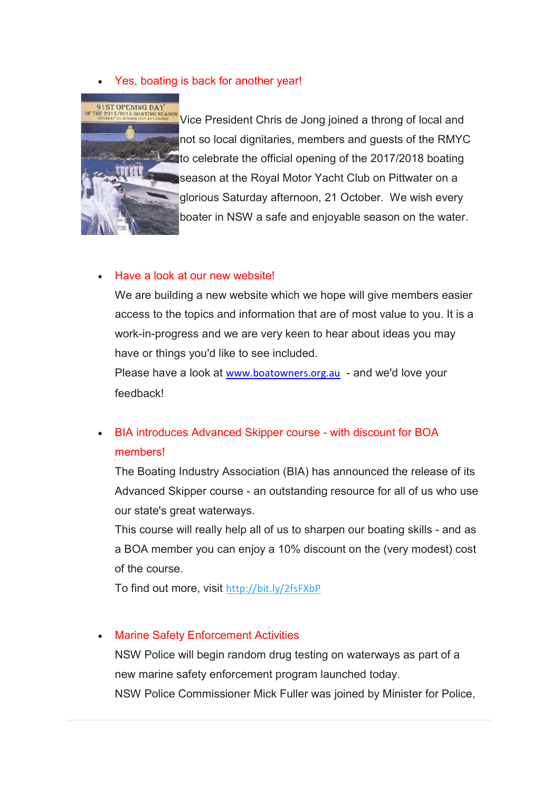Yes, boating is back for another year!



Vice President Chris de Jong joined a throng of local and not so local dignitaries, members and guests of the RMYC to celebrate the official opening of the 2017/2018 boating season at the Royal Motor Yacht Club on Pittwater on a glorious Saturday afternoon, 21 October. We wish every boater in NSW a safe and enjoyable season on the water.

### Have a look at our new website!

We are building a new website which we hope will give members easier access to the topics and information that are of most value to you. It is a work-in-progress and we are very keen to hear about ideas you may have or things you'd like to see included.

Please have a look at www.boatowners.org.au - and we'd love your feedback!

# BIA introduces Advanced Skipper course - with discount for BOA members!

The Boating Industry Association (BIA) has announced the release of its Advanced Skipper course - an outstanding resource for all of us who use our state's great waterways.

This course will really help all of us to sharpen our boating skills - and as a BOA member you can enjoy a 10% discount on the (very modest) cost of the course.

To find out more, visit http://bit.ly/2fsFXbP

### Marine Safety Enforcement Activities

NSW Police will begin random drug testing on waterways as part of a new marine safety enforcement program launched today. NSW Police Commissioner Mick Fuller was joined by Minister for Police,